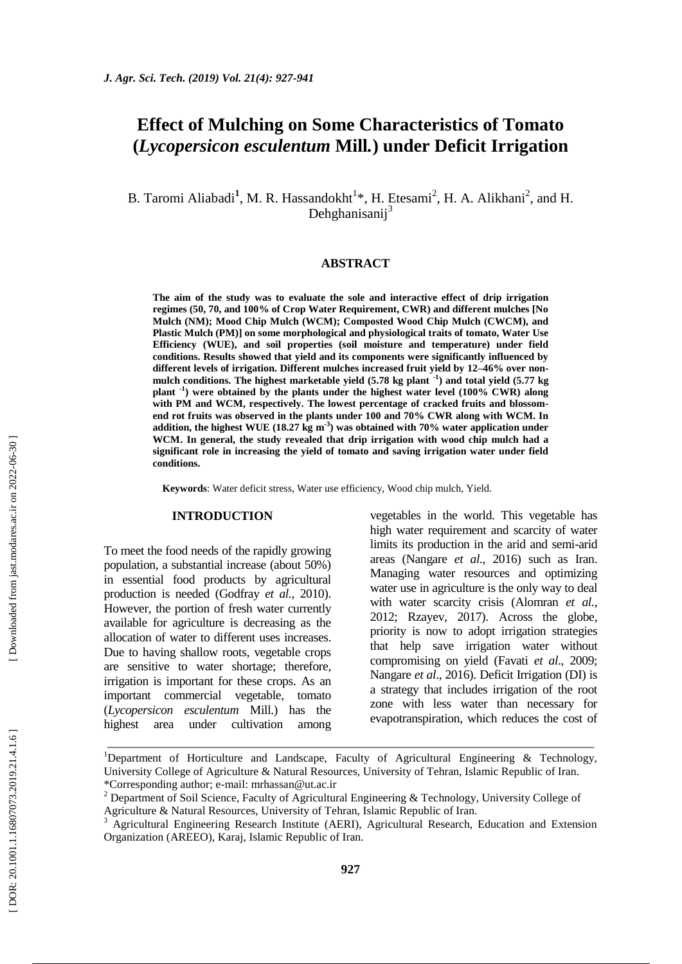# **Effect of Mulching on Some Characteristics of Tomato (***Lycopersicon esculentum* **Mill***.***) under Deficit Irrigation**

B. Taromi Aliabadi<sup>1</sup>, M. R. Hassandokht<sup>1</sup>\*, H. Etesami<sup>2</sup>, H. A. Alikhani<sup>2</sup>, and H. Dehghanisanij<sup>3</sup>

## **ABSTRACT**

**The aim of the study was to evaluate the sole and interactive effect of drip irrigation regimes (50, 70, and 100% of Crop Water Requirement, CWR) and different mulches [No Mulch (NM); Mood Chip Mulch (WCM); Composted Wood Chip Mulch (CWCM), and Plastic Mulch (PM)] on some morphological and physiological traits of tomato, Water Use Efficiency (WUE), and soil properties (soil moisture and temperature) under field conditions. Results showed that yield and its components were significantly influenced by different levels of irrigation. Different mulches increased fruit yield by 12 –46% over non mulch conditions. The highest marketable yield (5.78 kg plant - 1 ) and total yield (5.77 kg**  plant<sup>-1</sup>) were obtained by the plants under the highest water level (100% CWR) along **with PM and WCM, respectively. The lowest percentage of cracked fruits and blossom end rot fruits was observed in the plants under 100 and 70% CWR along with WCM. In addition, the highest WUE (18.27 kg m - 3 ) was obtained with 70% water application under WCM. In general, the study revealed that drip irrigation with wood chip mulch had a significant role in increasing the yield of tomato and saving irrigation water under field conditions.**

**Keywords**: Water deficit stress, Water use efficiency, Wood chip mulch, Yield.

#### **INTRODUCTION**

To meet the food needs of the rapidly growing population, a substantial increase (about 50%) in essential food products by agricultural production is needed (Godfray *et al.*, 2010). However, the portion of fresh water currently available for agriculture is decreasing as the allocation of water to different uses increases. Due to having shallow roots, vegetable crops are sensitive to water shortage; therefore, irrigation is important for these crops . As an important commercial vegetable, tomato (*Lycopersicon esculentum* Mill.) has the highest area under cultivation among

vegetables in the world. This vegetable has high water requirement and scarcity of water limits its production in the arid and semi -arid areas (Nangare *et al.,* 2016) such as Iran. Managing water resources and optimizing water use in agriculture is the only way to deal with water scarcity crisis (Alomran *et al.*, 2012; Rzayev, 2017). Across the globe, priority is now to adopt irrigation strategies that help save irrigation water without compromising on yield (Favati *et al*., 2009; Nangare *et al*., 2016). Deficit Irrigation (DI) is a strategy that includes irrigation of the root zone with less water than necessary for evapotranspiration, which reduces the cost of

\_\_\_\_\_\_\_\_\_\_\_\_\_\_\_\_\_\_\_\_\_\_\_\_\_\_\_\_\_\_\_\_\_\_\_\_\_\_\_\_\_\_\_\_\_\_\_\_\_\_\_\_\_\_\_\_\_\_\_\_\_\_\_\_\_\_\_\_\_\_\_\_\_\_\_\_\_

<sup>&</sup>lt;sup>1</sup>Department of Horticulture and Landscape, Faculty of Agricultural Engineering  $\&$  Technology, University College of Agriculture & Natural Resources, University of Tehran, Islamic Republic of Iran. \*Corresponding author; e -mail: [mrhassan@ut.ac.ir](mailto:mrhassan@ut.ac.ir)

<sup>&</sup>lt;sup>2</sup> Department of Soil Science, Faculty of Agricultural Engineering & Technology, University College of Agriculture & Natural Resources, University of Tehran, Islamic Republic of Iran.<br><sup>3</sup> Agricultural Engineering Research Institute (AERI), Agricultural Research, Education and Extension

Organization (AREEO), Karaj, Islamic Republic of Iran.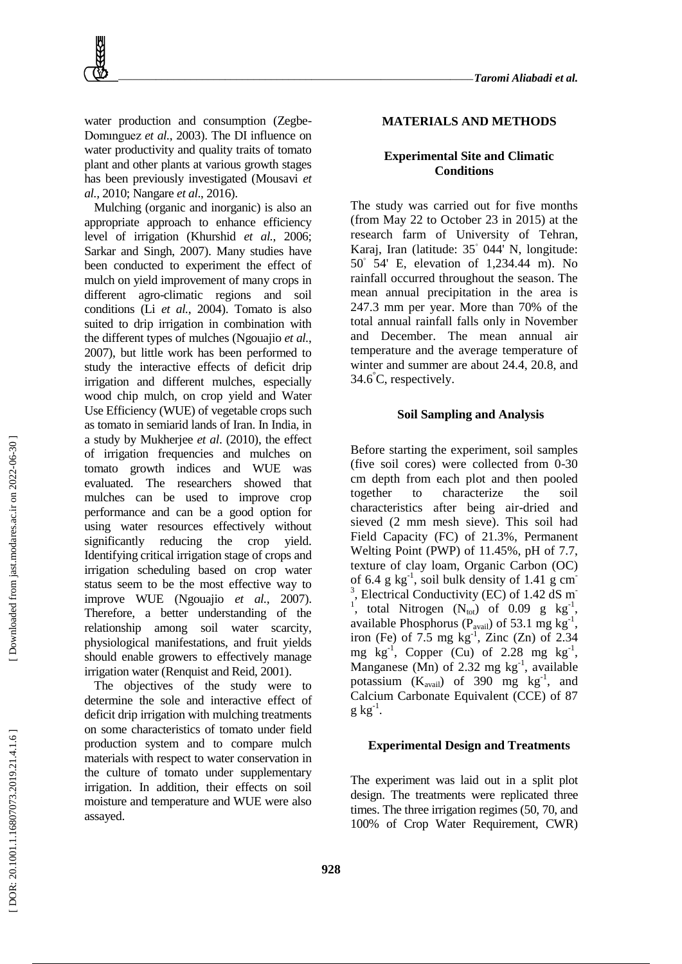water production and consumption (Zegbe-Domınguez *et al.*, 2003). The DI influence on water productivity and quality traits of tomato plant and other plants at various growth stages has been previously investigated (Mousavi *et al.,* 2010; Nangare *et al*., 2016).

Mulching (organic and inorganic) is also an appropriate approach to enhance efficiency level of irrigation (Khurshid *et al.*, 2006; Sarkar and Singh, 2007). Many studies have been conducted to experiment the effect of mulch on yield improvement of many crops in different agro -climatic regions and soil conditions (Li *et al.*, 2004). Tomato is also suited to drip irrigation in combination with the different types of mulches (Ngouajio *et al.*, 2007), but little work has been performed to study the interactive effects of deficit drip irrigation and different mulches, especially wood chip mulch, on crop yield and Water Use Efficiency (WUE) of vegetable crops such as tomato in semiarid lands of Iran. In India, in a study by Mukherjee *et al*. (2010), the effect of irrigation frequencies and mulches on tomato growth indices and WUE was evaluated. The researchers showed that mulches can be used to improve crop performance and can be a good option for using water resources effectively without significantly reducing the crop yield. Identifying critical irrigation stage of crops and irrigation scheduling based on crop water status seem to be the most effective way to improve WUE (Ngouajio *et al.*, 2007). Therefore, a better understanding of the relationship among soil water scarcity, physiological manifestations, and fruit yields should enable growers to effectively manage irrigation water (Renquist and Reid, 2001).

The objectives of the study were to determine the sole and interactive effect of deficit drip irrigation with mulching treatments on some characteristics of tomato under field production system and to compare mulch materials with respect to water conservation in the culture of tomato under supplementary irrigation. In addition, their effects on soil moisture and temperature and WUE were also assayed.

#### **MATERIALS AND METHOD S**

# **Experimental Site and Climatic Conditions**

The study was carried out for five months (from May 22 to October 23 in 2015) at the research farm of University of Tehran, Karaj, Iran (latitude: 35 ◦ 044' N, longitude: 50 ◦ 54' E, elevation of 1,234.44 m). No rainfall occurred throughout the season. The mean annual precipitation in the area is 247.3 mm per year. More than 70% of the total annual rainfall falls only in November and December. The mean annual air temperature and the average temperature of winter and summer are about 24.4, 20.8, and 34.6 °C, respectively.

# **Soil Sampling and Analysis**

Before starting the experiment, soil samples (five soil cores) were collected from 0 -30 cm depth from each plot and then pooled together to characterize the soil characteristics after being air -dried and sieved (2 mm mesh sieve). This soil had Field Capacity (FC) of 21.3%, Permanent Welting Point (PWP) of 11.45%, pH of 7.7, texture of clay loam, Organic Carbon (OC) of 6.4  $g$  kg<sup>-1</sup>, soil bulk density of 1.41  $g$  cm<sup>-</sup> <sup>3</sup>, Electrical Conductivity (EC) of 1.42 dS m<sup>-</sup> <sup>1</sup>, total Nitrogen  $(N_{\text{tot}})$  of 0.09 g  $\text{kg}^{-1}$ , available Phosphorus ( $P_{\text{avail}}$ ) of 53.1 mg kg<sup>-1</sup>, iron (Fe) of  $7.5 \text{ mg kg}^{-1}$ , Zinc (Zn) of 2.34 mg  $\text{kg}^{-1}$ , Copper (Cu) of 2.28 mg  $\text{kg}^{-1}$ , Manganese (Mn) of 2.32 mg  $kg^{-1}$ , available potassium  $(K_{\text{avail}})$  of 390 mg  $\text{kg}^{-1}$ , and Calcium Carbonate Equivalent (CCE) of 87  $g kg^{-1}$ .

#### **Experimental Design and Treatments**

The experiment was laid out in a split plot design. The treatments were replicated three times. The three irrigation regimes (50, 70, and 100% of Crop Water Requirement, CWR)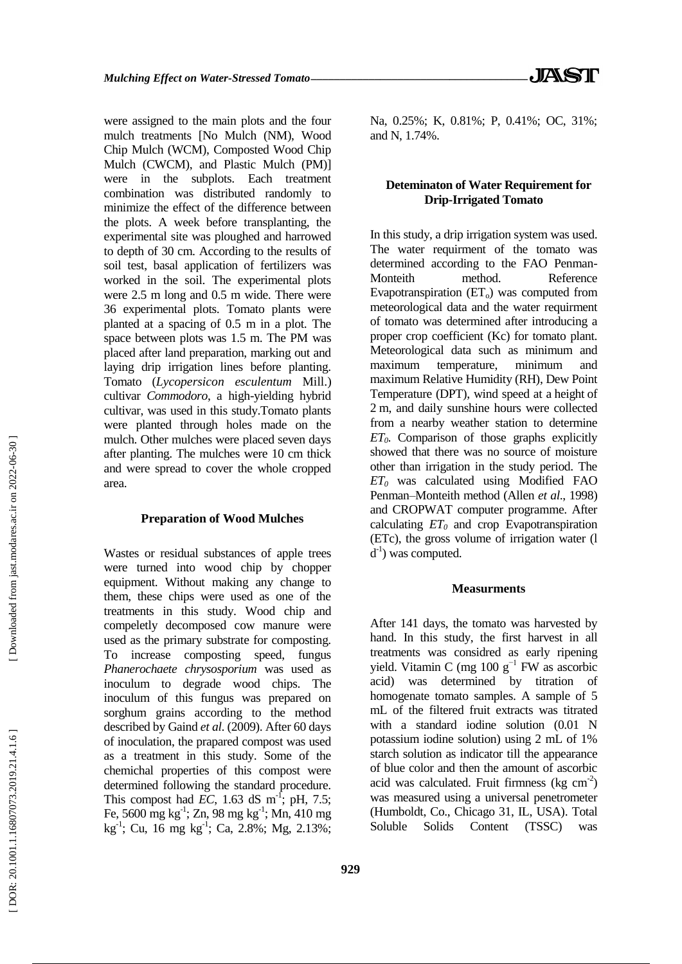were assigned to the main plots and the four mulch treatments [No Mulch (NM), Wood Chip Mulch (WCM), Composted Wood Chip Mulch (CWCM), and Plastic Mulch (PM)] were in the subplots. Each treatment combination was distributed randomly to minimize the effect of the difference between the plots. A week before transplanting, the experimental site was ploughed and harrowed to depth of 30 cm. According to the results of soil test, basal application of fertilizers was worked in the soil. The experimental plots were 2.5 m long and 0.5 m wide. There were 36 experimental plots. Tomato plants were planted at a spacing of 0.5 m in a plot. The space between plots was 1.5 m. The PM was placed after land preparation, marking out and laying drip irrigation lines before planting. Tomato (*Lycopersicon esculentum* Mill.) cultivar *Commodoro*, a high -yielding hybrid cultivar, was used in this study.Tomato plants were planted through holes made on the mulch. Other mulches were placed seven days after planting. The mulches were 10 cm thick and were spread to cover the whole cropped area.

## **Preparation of Wood Mulches**

Wastes or residual substances of apple trees were turned into wood chip by chopper equipment. Without making any change to them, these chips were used as one of the treatments in this study. Wood chip and compeletly decomposed cow manure were used as the primary substrate for composting. To increase composting speed, fungus *Phanerochaete chrysosporium* was used as inoculum to degrade wood chips. The inoculum of this fungus was prepared on sorghum grains according to the method described by Gaind *et al*. (2009). After 60 days of inoculation, the prapared compost was used as a treatment in this study. Some of the chemichal properties of this compost were determined following the standard procedure. This compost had  $EC$ , 1.63 dS m<sup>-1</sup>; pH, 7.5; Fe, 5600 mg kg<sup>-1</sup>; Zn, 98 mg kg<sup>-1</sup>; Mn, 410 mg kg<sup>-1</sup>; Cu, 16 mg kg<sup>-1</sup>; Ca, 2.8%; Mg, 2.13%; Na, 0.25%; K, 0.81%; P, 0.41%; OC, 31%; and N, 1.74%.

# **Deteminaton of Water Requirement for Drip -Irrigated Tomato**

In this study, a drip irrigation system was used. The water requirment of the tomato was determined according to the FAO Penman - Monteith method. Reference Evapotranspiration (ET<sub>o</sub>) was computed from meteorological data and the water requirment of tomato was determined after introducing a proper crop coefficient (Kc) for tomato plant. Meteorological data such as minimum and maximum temperature, minimum and maximum Relative Humidity (RH), Dew Point Temperature (DPT), wind speed at a height of 2 m, and daily sunshine hours were collected from a nearby weather station to determine *ET0*. Comparison of those graphs explicitly showed that there was no source of moisture other than irrigation in the study period. The *ET<sup>0</sup>* was calculated using Modified FAO Penman–Monteith method (Allen *et al*., 1998) and CROPWAT computer programme. After calculating *ET<sup>0</sup>* and crop Evapotranspiration  $(ETc)$ , the gross volume of irrigation water  $(1)$  $d<sup>-1</sup>$ ) was computed.

# **Measurments**

After 141 days, the tomato was harvested by hand. In this study, the first harvest in all treatments was considred as early ripening yield. Vitamin C (mg 100  $g^{-1}$  FW as ascorbic acid) was determined by titration of homogenate tomato samples. A sample of 5 mL of the filtered fruit extracts was titrated with a standard iodine solution (0.01 N potassium iodine solution) using 2 mL of 1% starch solution as indicator till the appearance of blue color and then the amount of ascorbic acid was calculated. Fruit firmness  $(kg cm<sup>-2</sup>)$ was measured using a universal penetrometer (Humboldt, Co., Chicago 31, IL, USA). Total Soluble Solids Content (TSSC) was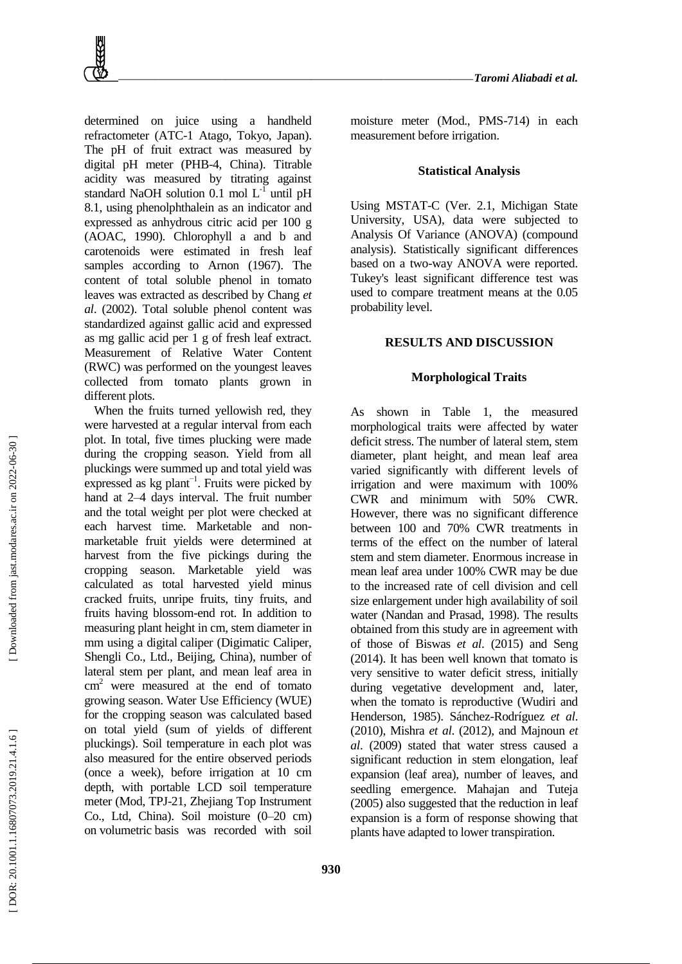determined on juice using a handheld refractometer (ATC -1 Atago, Tokyo, Japan). The pH of fruit extract was measured by digital pH meter (PHB -4, China). Titrable acidity was measured by titrating against standard NaOH solution 0.1 mol  $L^{-1}$  until pH 8.1, using phenolphthalein as an indicator and expressed as anhydrous citric acid per 100 g (AOAC, 1990). Chlorophyll a and b and carotenoids were estimated in fresh leaf samples according to Arnon (1967). The content of total soluble phenol in tomato leaves was extracted as described by Chang *et al*. (2002). Total soluble phenol content was standardized against gallic acid and expressed as mg gallic acid per 1 g of fresh leaf extract. Measurement of Relative Water Content (RWC) was performed on the youngest leaves collected from tomato plants grown in different plots.

When the fruits turned yellowish red, they were harvested at a regular interval from each plot. In total, five times plucking were made during the cropping season. Yield from all pluckings were summed up and total yield was expressed as kg plant−1. Fruits were picked by hand at 2–4 days interval. The fruit number and the total weight per plot were checked at each harvest time. Marketable and non marketable fruit yields were determined at harvest from the five pickings during the cropping season. Marketable yield was calculated as total harvested yield minus cracked fruits, unripe fruits, tiny fruits, and fruits having blossom -end rot. In addition to measuring plant height in cm, stem diameter in mm using a digital caliper (Digimatic Caliper, Shengli Co., Ltd., Beijing, China), number of lateral stem per plant, and mean leaf area in  $cm<sup>2</sup>$  were measured at the end of tomato growing season. Water Use Efficiency (WUE) for the cropping season was calculated based on total yield (sum of yields of different pluckings). Soil temperature in each plot was also measured for the entire observed periods (once a week), before irrigation at 10 cm depth, with portable LCD soil temperature meter (Mod, TPJ -21, Zhejiang Top Instrument Co., Ltd, China). Soil moisture (0 –20 cm) on volumetric basis was recorded with soil

moisture meter (Mod., PMS -714) in each measurement before irrigation.

#### **Statistical Analysis**

Using MSTAT -C (Ver. 2.1, Michigan State University, USA), data were subjected to Analysis Of Variance (ANOVA) (compound analysis). Statistically significant differences based on a two -way ANOVA were reported. Tukey's least significant difference test was used to compare treatment means at the 0.05 probability level.

#### **RESULTS AND DISCUSSION**

#### **Morphological Traits**

As shown in Table 1, the measured morphological traits were affected by water deficit stress. The number of lateral stem, stem diameter, plant height, and mean leaf area varied significantly with different levels of irrigation and were maximum with 100% CWR and minimum with 50% CWR. However, there was no significant difference between 100 and 70% CWR treatments in terms of the effect on the number of lateral stem and stem diameter. Enormous increase in mean leaf area under 100% CWR may be due to the increased rate of cell division and cell size enlargement under high availability of soil water (Nandan and Prasad, 1998) . The results obtained from this study are in agreement with of those of Biswas *et al*. (2015) and Seng (2014). It has been well known that tomato is very sensitive to water deficit stress, initially during vegetative development and, later, when the tomato is reproductive (Wudiri and Henderson, 1985). Sánchez -Rodríguez *et al*. (2010), Mishra *et al*. (2012), and Majnoun *et al*. (2009) stated that water stress caused a significant reduction in stem elongation, leaf expansion (leaf area), number of leaves, and seedling emergence. Mahajan and Tuteja (2005) also suggested that the reduction in leaf expansion is a form of response showing that plants have adapted to lower transpiration.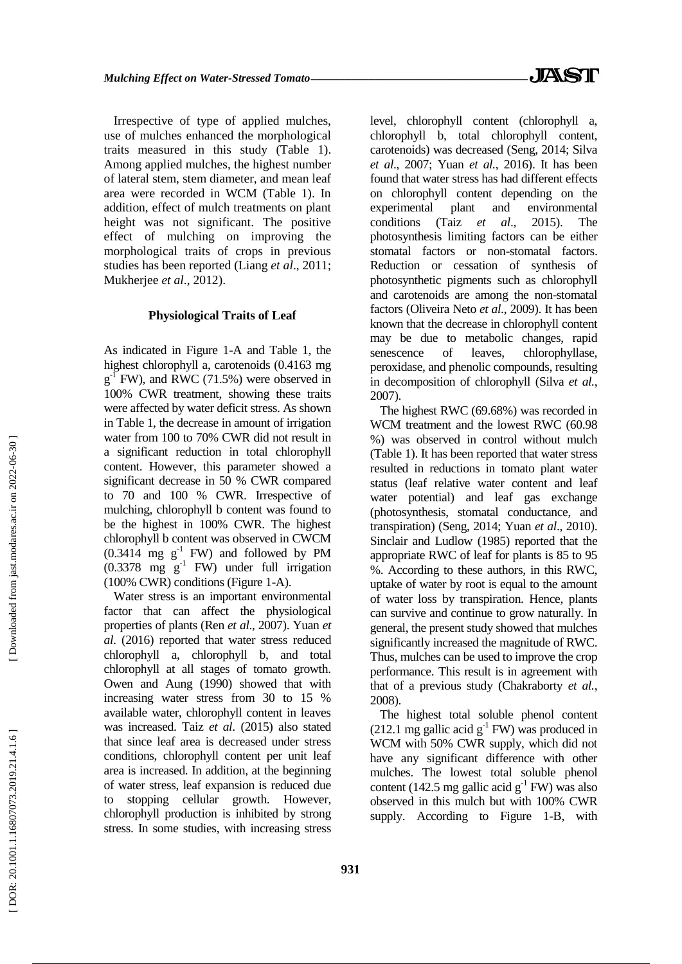Irrespective of type of applied mulches, use of mulches enhanced the morphological traits measured in this study (Table 1). Among applied mulches, the highest number of lateral stem, stem diameter, and mean leaf area were recorded in WCM (Table 1). In addition, effect of mulch treatments on plant height was not significant. The positive effect of mulching on improving the morphological traits of crops in previous studies has been reported (Liang *et al*., 2011; Mukherjee *et al*., 2012) .

#### **Physiological Traits of Leaf**

As indicated in Figure 1 -A and Table 1, the highest chlorophyll a, carotenoids (0.4163 mg  $g^1$  FW), and RWC (71.5%) were observed in 100% CWR treatment, showing these traits were affected by water deficit stress. As shown in Table 1, the decrease in amount of irrigation water from 100 to 70% CWR did not result in a significant reduction in total chlorophyll content. However, this parameter showed a significant decrease in 50 % CWR compared to 70 and 100 % CWR. Irrespective of mulching, chlorophyll b content was found to be the highest in 100% CWR. The highest chlorophyll b content was observed in CWCM  $(0.3414 \text{ mg g}^{-1}$  FW) and followed by PM  $(0.3378 \text{ mg g}^{-1} \text{FW})$  under full irrigation (100% CWR) conditions (Figure 1 -A).

Water stress is an important environmental factor that can affect the physiological properties of plants (Ren *et al*., 2007). Yuan *et al*. (2016) reported that water stress reduced chlorophyll a, chlorophyll b, and total chlorophyll at all stages of tomato growth. Owen and Aung (1990) showed that with increasing water stress from 30 to 15 % available water, chlorophyll content in leaves was increased. Taiz *et al*. (2015) also stated that since leaf area is decreased under stress conditions, chlorophyll content per unit leaf area is increased. In addition, at the beginning of water stress, leaf expansion is reduced due to stopping cellular growth. However, chlorophyll production is inhibited by strong stress. In some studies, with increasing stress

level, chlorophyll content (chlorophyll a, chlorophyll b, total chlorophyll content, carotenoids) was decreased (Seng, 2014; Silva *et al*., 2007; Yuan *et al.*, 2016). It has been found that water stress has had different effects on chlorophyll content depending on the experimental plant and environmental conditions (Taiz *et al*., 2015). The photosynthesis limiting factors can be either stomatal factors or non -stomatal factors. Reduction or cessation of synthesis of photosynthetic pigments such as chlorophyll and carotenoids are among the non -stomatal factors (Oliveira Neto *et al*., 2009). It has been known that the decrease in chlorophyll content may be due to metabolic changes, rapid senescence of leaves, chlorophyllase, peroxidase, and phenolic compounds, resulting in decomposition of chlorophyll (Silva *et al.*, 2007) .

The highest RWC (69.68%) was recorded in WCM treatment and the lowest RWC (60.98 %) was observed in control without mulch (Table 1). It has been reported that water stress resulted in reductions in tomato plant water status (leaf relative water content and leaf water potential) and leaf gas exchange (photosynthesis, stomatal conductance, and transpiration) (Seng, 2014; Yuan *et al*., 2010). Sinclair and Ludlow (1985) reported that the appropriate RWC of leaf for plants is 85 to 95 %. According to these authors, in this RWC, uptake of water by root is equal to the amount of water loss by transpiration. Hence, plants can survive and continue to grow naturally. In general, the present study showed that mulches significantly increased the magnitude of RWC. Thus, mulches can be used to improve the crop performance. This result is in agreement with that of a previous study (Chakraborty *et al.*, 2008) .

The highest total soluble phenol content  $(212.1 \text{ mg} \text{ gallic acid g}^{-1} \text{FW})$  was produced in WCM with 50% CWR supply, which did not have any significant difference with other mulches. The lowest total soluble phenol content (142.5 mg gallic acid  $g^{-1}$  FW) was also observed in this mulch but with 100% CWR supply. According to Figure 1 -B, with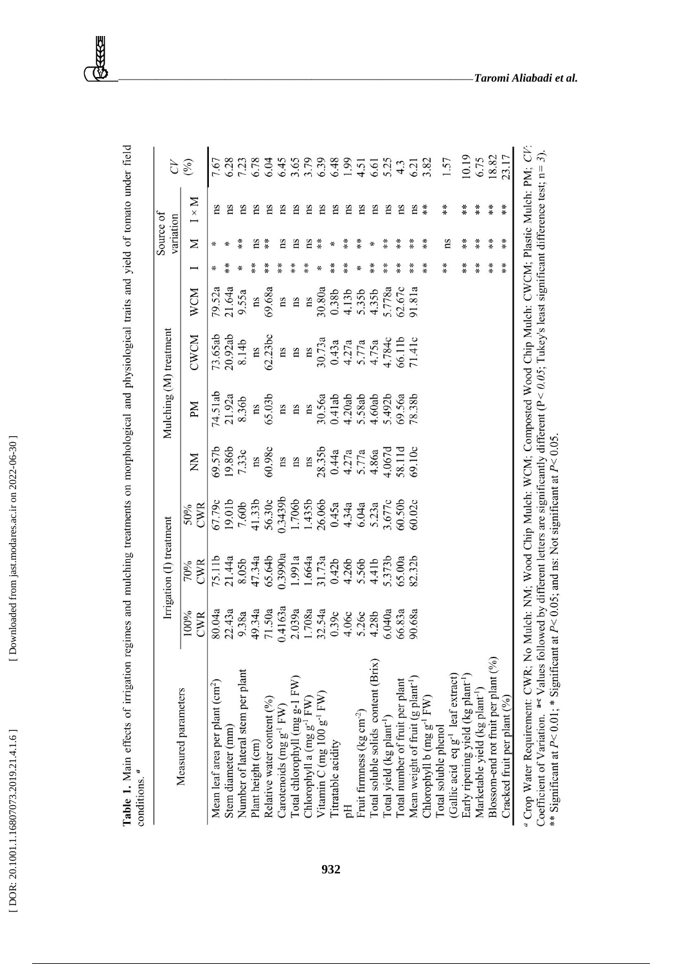[\[ DOR: 20.1001.1.16807073.2019.21.4.1.6](https://dorl.net/dor/20.1001.1.16807073.2019.21.4.1.6) ] [\[ Downloaded from jast.modares.ac.ir on 2](https://jast.modares.ac.ir/article-23-12441-en.html)022-06-30 ] [Downloaded from jast.modares.ac.ir on 2022-06-30]

[DOR: 20.1001.1.16807073.2019.21.4.1.6]

Table 1. Main effects of irrigation regimes and mulching treatments on morphological and physiological traits and yield of tomato under field<br>conditions.<sup>4</sup>

|                                                                                                                                                                                                                                                                                                                                                                                                              |             | Irrigation (I) treatment |                    |                           |                        | Mulching (M) treatment                          |                  |               | Source of<br>variation |              | Э                            |
|--------------------------------------------------------------------------------------------------------------------------------------------------------------------------------------------------------------------------------------------------------------------------------------------------------------------------------------------------------------------------------------------------------------|-------------|--------------------------|--------------------|---------------------------|------------------------|-------------------------------------------------|------------------|---------------|------------------------|--------------|------------------------------|
| Measured parameters                                                                                                                                                                                                                                                                                                                                                                                          | 100%<br>CWR | <b>CWR</b><br>70%        | CWR<br>50%         | ŠХ                        | M                      | CWCM                                            | <b>WCM</b>       |               | Σ                      | $N \times N$ | (6)                          |
| Mean leaf area per plant (cm <sup>2</sup> )                                                                                                                                                                                                                                                                                                                                                                  | 80.04a      | 75.11b                   | 67.79c             |                           | 74.51ab                | 73.65ab                                         |                  |               | ⋇                      | ns           | 7.67                         |
| Stem diameter (mm)                                                                                                                                                                                                                                                                                                                                                                                           | 22.43a      | 21.44a                   | 19.01b             | 09.57b                    | 21.92a                 | 20.92ab                                         | 79.52a<br>21.64a |               | ⋇                      | ms           | 6.28                         |
| Number of lateral stem per plant                                                                                                                                                                                                                                                                                                                                                                             | 9.38a       | 8.05b                    | 7.60b              | 7.33c                     | 8.36b                  | 8.14b                                           | 9.55a            |               | $*$                    | ms           |                              |
| Plant height (cm)                                                                                                                                                                                                                                                                                                                                                                                            | 49.34a      | 47.34a                   | 41.33b             | $\overline{\text{ns}}$    | ns                     | $\overline{\text{ns}}$                          | ns               |               | ns                     | ns           | 7.23                         |
| Relative water content (%)                                                                                                                                                                                                                                                                                                                                                                                   | 71.50a      | 65.64b                   | 56.30c             | 60.98c                    | 65.03b                 | 62.23bc                                         | 69.68a           | $* *$         | $* *$                  | ns           | 6.04                         |
| Carotenoids (mg g <sup>-1</sup> FW)                                                                                                                                                                                                                                                                                                                                                                          | 0.4163a     | 0.3990a                  | 0.3439b            | ns                        | ns                     | ns                                              | ns               |               | Ξ                      | ns           | 6.45                         |
| Total chlorophyll (mg g-1 FW)                                                                                                                                                                                                                                                                                                                                                                                | 2.039a      | 1.991a                   | 1.706b             | ns                        | $\mathbf{n}\mathbf{s}$ | ns                                              | ns               |               | Ξ                      | ms           | 3.65<br>3.79<br>6.39         |
| Chlorophyll a (mg g <sup>-1</sup> FW)                                                                                                                                                                                                                                                                                                                                                                        | 1.708a      | 1.664a                   | 1.435b             | $\mathbf{n}$              | $_{\rm ns}$            | ns                                              | ns               | $*$           | Ξ                      | ns           |                              |
| Vitamin C (mg 100 $g^{-1}$ FW)                                                                                                                                                                                                                                                                                                                                                                               | 32.54a      | 31.73a                   | 26.06b             | 28.35b                    | 30.56a                 | 30.73a                                          | 30.80a           |               | $**$                   | ns           |                              |
| Titratable acidity                                                                                                                                                                                                                                                                                                                                                                                           | 0.39c       | 0.42 <sub>b</sub>        | 0.45a              | 0.44a                     | 0.41ab                 | 0.43a                                           | 0.38b            | $*$           | ∗                      | ns           |                              |
|                                                                                                                                                                                                                                                                                                                                                                                                              | 4.06c       | 4.26b                    | 4.34a              |                           | 4.20ab                 | 4.27a                                           | 4.13b            | $*$           | **                     | ns           |                              |
| Fruit firmness (kg cm <sup>-2</sup> )                                                                                                                                                                                                                                                                                                                                                                        | 5.26c       | 5.56b                    | 6.04a              | $4.27a$<br>5.77a<br>4.86a | 5.58ab                 |                                                 | 5.35b            |               | $\frac{*}{*}$          | ns           | 6.48<br>1.91<br>4.51<br>5.25 |
| Total soluble solids content (Brix)                                                                                                                                                                                                                                                                                                                                                                          | 4.28b       | 4.41b                    | 5.23a              |                           | 4.60ab                 | $\frac{5.77a}{4.75a}$<br>$\frac{4.75a}{4.784c}$ | 4.35b            | $**$          | ∗                      | ns           |                              |
| Total yield (kg plant <sup>-1</sup> )                                                                                                                                                                                                                                                                                                                                                                        | 6.040a      | 5.373b                   | 3.677c             | 4.067d<br>58.11d          | 5.492b                 |                                                 | 5.778a           | $* *$         | $* *$                  | ns           |                              |
| Total number of fruit per plant                                                                                                                                                                                                                                                                                                                                                                              | 66.83a      | 65.00a                   | 60.50 <sub>b</sub> |                           | 69.56a                 |                                                 | 62.67c           | **            | $**$                   | ns           |                              |
| Mean weight of fruit (g plant <sup>-1</sup> )                                                                                                                                                                                                                                                                                                                                                                | 90.68a      | 82.32b                   | 60.02c             | 69.10c                    | 78.38b                 | 71.41c                                          | 91.81a           | $**$          | $**$                   | ns           | $4.3$<br>$6.21$<br>$3.82$    |
| Chlorophyll b (mg g <sup>-1</sup> FW)                                                                                                                                                                                                                                                                                                                                                                        |             |                          |                    |                           |                        |                                                 |                  | $*$           | $*$                    | $*$          |                              |
| Total soluble phenol                                                                                                                                                                                                                                                                                                                                                                                         |             |                          |                    |                           |                        |                                                 |                  | $**$          | ns                     | $**$         | 1.57                         |
| (Gallic acid eq g <sup>-1</sup> leaf extract)                                                                                                                                                                                                                                                                                                                                                                |             |                          |                    |                           |                        |                                                 |                  |               |                        |              |                              |
| Early ripening yield (kg plant <sup>-1</sup> )                                                                                                                                                                                                                                                                                                                                                               |             |                          |                    |                           |                        |                                                 |                  | **            | $* *$                  | $* *$        | 10.19                        |
| Marketable yield (kg plant <sup>-1</sup> )                                                                                                                                                                                                                                                                                                                                                                   |             |                          |                    |                           |                        |                                                 |                  | $*$           | $*$                    | $* *$        | 6.75                         |
| Blossom-end rot fruit per plant (%)                                                                                                                                                                                                                                                                                                                                                                          |             |                          |                    |                           |                        |                                                 |                  | $\frac{*}{*}$ | $* *$                  | $* *$        | 18.82                        |
| Cracked fruit per plant (%)                                                                                                                                                                                                                                                                                                                                                                                  |             |                          |                    |                           |                        |                                                 |                  | $**$          | $**$                   | $*$          | 23.17                        |
| " Crop Water Requirement: CWR; No Mulch: NM; Wood Chip Mulch: WCM; Composted Wood Chip Mulch: CWCM; Plastic Mulch: PM; CF<br>Coefficient of Variation. <sup>are</sup> Values followed by different letters are significantly different ( $P < 0.05$ ; Tukey's least significant difference test; $n =$<br>** Significant at $P < 0.01$ ; * Significant at $P < 0.05$ ; and ns: Not significant at $P < 0.05$ |             |                          |                    |                           |                        |                                                 |                  |               |                        |              | 3).                          |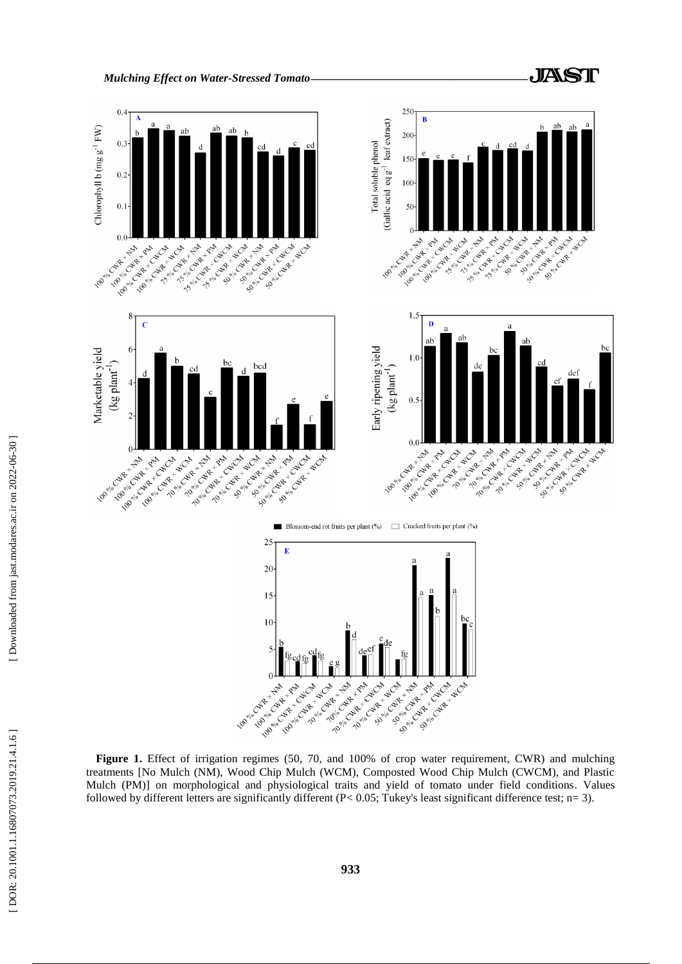

**Figure 1.** Effect of irrigation regimes (50, 70, and 100% of crop water requirement, CWR) and mulching treatments [No Mulch (NM), Wood Chip Mulch (WCM), Composted Wood Chip Mulch (CWCM), and Plastic Mulch (PM)] on morphological and physiological traits and yield of tomato under field conditions. Values followed by different letters are significantly different (P< 0.05; Tukey's least significant difference test; n= 3).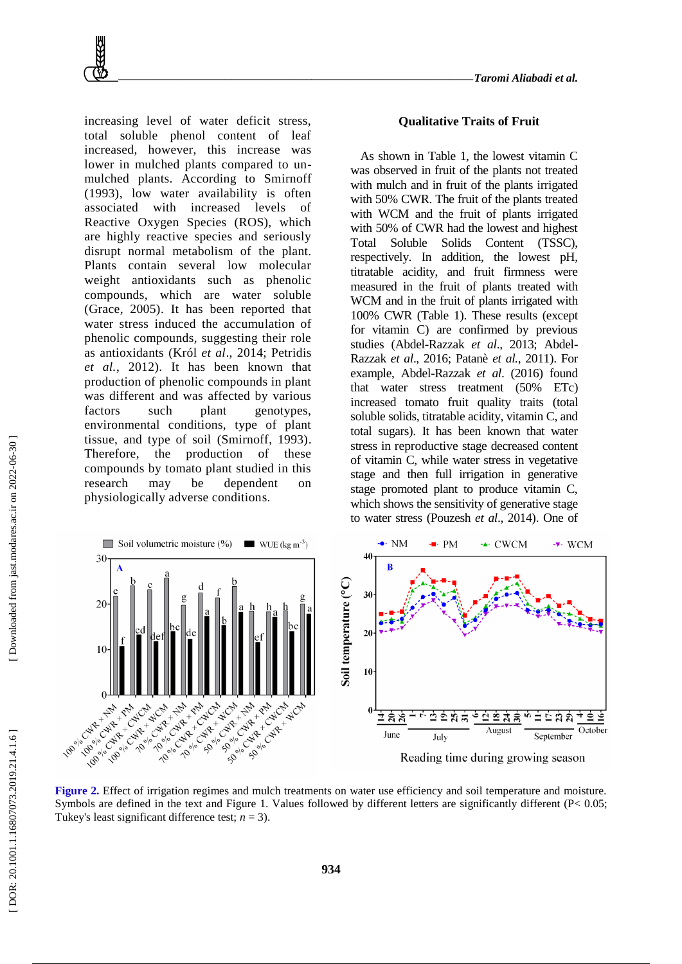increasing level of water deficit stress, total soluble phenol content of leaf increased, however, this increase was lower in mulched plants compared to unmulched plants. According to Smirnoff (1993), low water availability is often associated with increased levels of Reactive Oxygen Species (ROS), which are highly reactive species and seriously disrupt normal metabolism of the plant. Plants contain several low molecular weight antioxidants such as phenolic compounds, which are water soluble (Grace, 2005). It has been reported that water stress induced the accumulation of phenolic compounds, suggesting their role as antioxidants (Król *et al*., 2014; Petridis *et al.*, 2012). It has been known that production of phenolic compounds in plant was different and was affected by various factors such plant genotypes, environmental conditions, type of plant tissue, and type of soil (Smirnoff, 1993). Therefore, the production of these compounds by tomato plant studied in this research may be dependent on physiologically adverse conditions.

#### **Qualitative Traits of Fruit**

As shown in Table 1, the lowest vitamin C was observed in fruit of the plants not treated with mulch and in fruit of the plants irrigated with 50% CWR. The fruit of the plants treated with WCM and the fruit of plants irrigated with 50% of CWR had the lowest and highest Total Soluble Solids Content (TSSC), respectively. In addition, the lowest pH, titratable acidity, and fruit firmness were measured in the fruit of plants treated with WCM and in the fruit of plants irrigated with 100% CWR (Table 1). These results (except for vitamin C) are confirmed by previous studies (Abdel-Razzak et al., 2013; Abdel-Razzak *et al*., 2016; Patanè *et al.*, 2011). For example, Abdel -Razzak *et al*. (2016) found that water stress treatment (50% ETc) increased tomato fruit quality traits (total soluble solids, titratable acidity, vitamin C, and total sugars). It has been known that water stress in reproductive stage decreased content of vitamin C, while water stress in vegetative stage and then full irrigation in generative stage promoted plant to produce vitamin C, which shows the sensitivity of generative stage to water stress (Pouzesh *et al*., 2014). One of



**Figure 2.** Effect of irrigation regimes and mulch treatments on water use efficiency and soil temperature and moisture. Symbols are defined in the text and Figure 1. Values followed by different letters are significantly different (P< 0.05; Tukey's least significant difference test;  $n = 3$ ).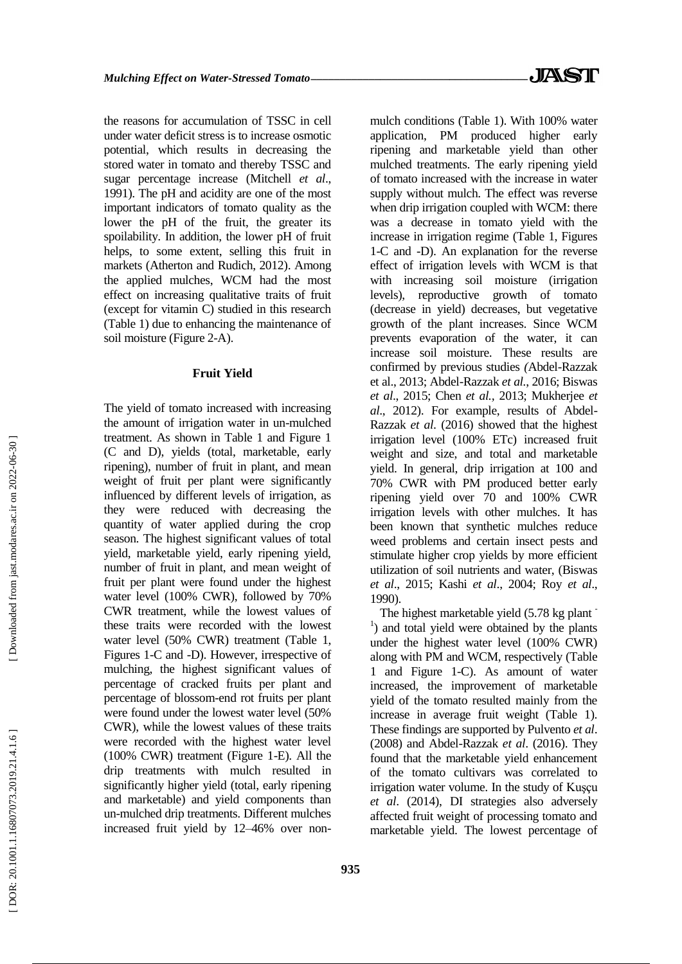the reasons for accumulation of TSSC in cell under water deficit stress is to increase osmotic potential, which results in decreasing the stored water in tomato and thereby TSSC and sugar percentage increase (Mitchell *et al*., 1991). The pH and acidity are one of the most important indicators of tomato quality as the lower the pH of the fruit, the greater its spoilability. In addition, the lower pH of fruit helps, to some extent, selling this fruit in markets (Atherton and Rudich, 2012). Among the applied mulches, WCM had the most effect on increasing qualitative traits of fruit (except for vitamin C) studied in this research (Table 1) due to enhancing the maintenance of soil moisture (Figure 2 -A).

# **Fruit Yield**

The yield of tomato increased with increasing the amount of irrigation water in un -mulched treatment. As shown in Table 1 and Figure 1 (C and D), yields (total, marketable, early ripening), number of fruit in plant, and mean weight of fruit per plant were significantly influenced by different levels of irrigation, as they were reduced with decreasing the quantity of water applied during the crop season. The highest significant values of total yield, marketable yield, early ripening yield, number of fruit in plant, and mean weight of fruit per plant were found under the highest water level (100% CWR), followed by 70% CWR treatment, while the lowest values of these traits were recorded with the lowest water level (50% CWR) treatment (Table 1, Figures 1 -C and -D). However, irrespective of mulching, the highest significant values of percentage of cracked fruits per plant and percentage of blossom -end rot fruits per plant were found under the lowest water level (50% CWR), while the lowest values of these traits were recorded with the highest water level (100% CWR) treatment (Figure 1 -E). All the drip treatments with mulch resulted in significantly higher yield (total, early ripening and marketable) and yield components than un -mulched drip treatments. Different mulches increased fruit yield by 12 –46% over non -

mulch conditions (Table 1). With 100% water application, PM produced higher early ripening and marketable yield than other mulched treatments. The early ripening yield of tomato increased with the increase in water supply without mulch. The effect was reverse when drip irrigation coupled with WCM: there was a decrease in tomato yield with the increase in irrigation regime (Table 1, Figures 1-C and -D). An explanation for the reverse effect of irrigation levels with WCM is that with increasing soil moisture (irrigation levels), reproductive growth of tomato (decrease in yield) decreases, but vegetative growth of the plant increases. Since WCM prevents evaporation of the water, it can increase soil moisture. These results are confirmed by previous studies *(*Abdel -Razzak et al., 2013; Abdel -Razzak *et al.*, 2016; Biswas *et al*., 2015; Chen *et al.,* 2013; Mukherjee *et*  al., 2012). For example, results of Abdel-Razzak *et al*. (2016) showed that the highest irrigation level (100% ETc) increased fruit weight and size, and total and marketable yield. In general, drip irrigation at 100 and 70% CWR with PM produced better early ripening yield over 70 and 100% CWR irrigation levels with other mulches. It has been known that synthetic mulches reduce weed problems and certain insect pests and stimulate higher crop yields by more efficient utilization of soil nutrients and water, (Biswas *et al*., 2015; Kashi *et al*., 2004; Roy *et al*., 1990).

The highest marketable yield (5.78 kg plant <sup>1</sup>) and total yield were obtained by the plants under the highest water level (100% CWR) along with PM and WCM, respectively (Table 1 and Figure 1 -C). As amount of water increased, the improvement of marketable yield of the tomato resulted mainly from the increase in average fruit weight (Table 1). These findings are supported by Pulvento *et al*. (2008) and Abdel -Razzak *et al*. (2016). They found that the marketable yield enhancement of the tomato cultivars was correlated to irrigation water volume. In the study of Kuşçu *et al*. (2014), DI strategies also adversely affected fruit weight of processing tomato and marketable yield. The lowest percentage of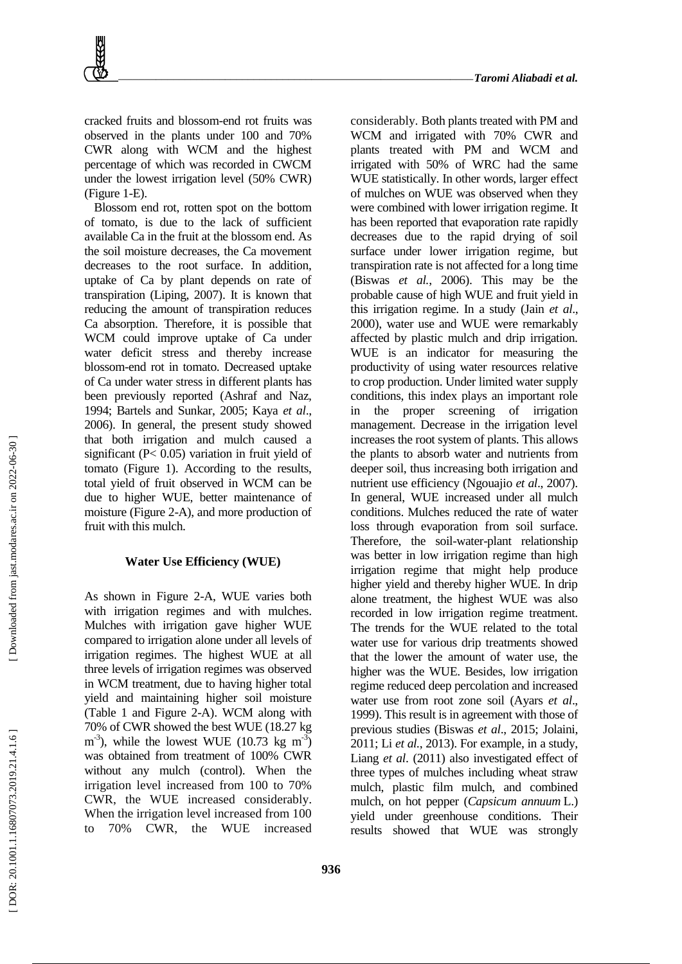considerably. Both plants treated with PM and

cracked fruits and blossom -end rot fruits was observed in the plants under 100 and 70% CWR along with WCM and the highest percentage of which was recorded in CWCM under the lowest irrigation level (50% CWR) (Figure 1 -E).

Blossom end rot, rotten spot on the bottom of tomato, is due to the lack of sufficient available Ca in the fruit at the blossom end. As the soil moisture decreases, the Ca movement decreases to the root surface. In addition, uptake of Ca by plant depends on rate of transpiration (Liping, 2007). It is known that reducing the amount of transpiration reduces Ca absorption. Therefore, it is possible that WCM could improve uptake of Ca under water deficit stress and thereby increase blossom -end rot in tomato. Decreased uptake of Ca under water stress in different plants has been previously reported (Ashraf and Naz, 1994; Bartels and Sunkar, 2005; Kaya *et al*., 2006). In general, the present study showed that both irrigation and mulch caused a significant (P< 0.05) variation in fruit yield of tomato (Figure 1). According to the results, total yield of fruit observed in WCM can be due to higher WUE, better maintenance of moisture (Figure 2 -A), and more production of fruit with this mulch .

# **Water Use Efficiency (WUE)**

As shown in Figure 2 -A, WUE varies both with irrigation regimes and with mulches. Mulches with irrigation gave higher WUE compared to irrigation alone under all levels of irrigation regimes. The highest WUE at all three levels of irrigation regimes was observed in WCM treatment, due to having higher total yield and maintaining higher soil moisture (Table 1 and Figure 2 -A). WCM along with  $70\%$  of CWR showed the best WUE  $(18.27 \text{ kg})$ ), while the lowest WUE  $(10.73 \text{ kg m}^3)$ was obtained from treatment of 100% CWR without any mulch (control). When the irrigation level increased from 100 to 70% CWR, the WUE increased considerably. When the irrigation level increased from 100 to 70% CWR, the WUE increased

WCM and irrigated with 70% CWR and plants treated with PM and WCM and irrigated with 50% of WRC had the same WUE statistically. In other words, larger effect of mulches on WUE was observed when they were combined with lower irrigation regime. It has been reported that evaporation rate rapidly decreases due to the rapid drying of soil surface under lower irrigation regime, but transpiration rate is not affected for a long time (Biswas *et al.*, 2006). This may be the probable cause of high WUE and fruit yield in this irrigation regime. In a study (Jain *et al*., 2000), water use and WUE were remarkably affected by plastic mulch and drip irrigation. WUE is an indicator for measuring the productivity of using water resources relative to crop production. Under limited water supply conditions, this index plays an important role in the proper screening of irrigation management. Decrease in the irrigation level increases the root system of plants. This allows the plants to absorb water and nutrients from deeper soil, thus increasing both irrigation and nutrient use efficiency (Ngouajio *et al*., 2007). In general, WUE increased under all mulch conditions. Mulches reduced the rate of water loss through evaporation from soil surface. Therefore, the soil -water -plant relationship was better in low irrigation regime than high irrigation regime that might help produce higher yield and thereby higher WUE. In drip alone treatment, the highest WUE was also recorded in low irrigation regime treatment. The trends for the WUE related to the total water use for various drip treatments showed that the lower the amount of water use, the higher was the WUE. Besides, low irrigation regime reduced deep percolation and increased water use from root zone soil (Ayars *et al*., 1999). This result is in agreement with those of previous studies (Biswas *et al*., 2015; Jolaini, 2011; Li *et al.*, 2013). For example, in a study, Liang *et al*. (2011) also investigated effect of three types of mulches including wheat straw mulch, plastic film mulch, and combined mulch, on hot pepper (*Capsicum annuum* L.) yield under greenhouse conditions. Their results showed that WUE was strongly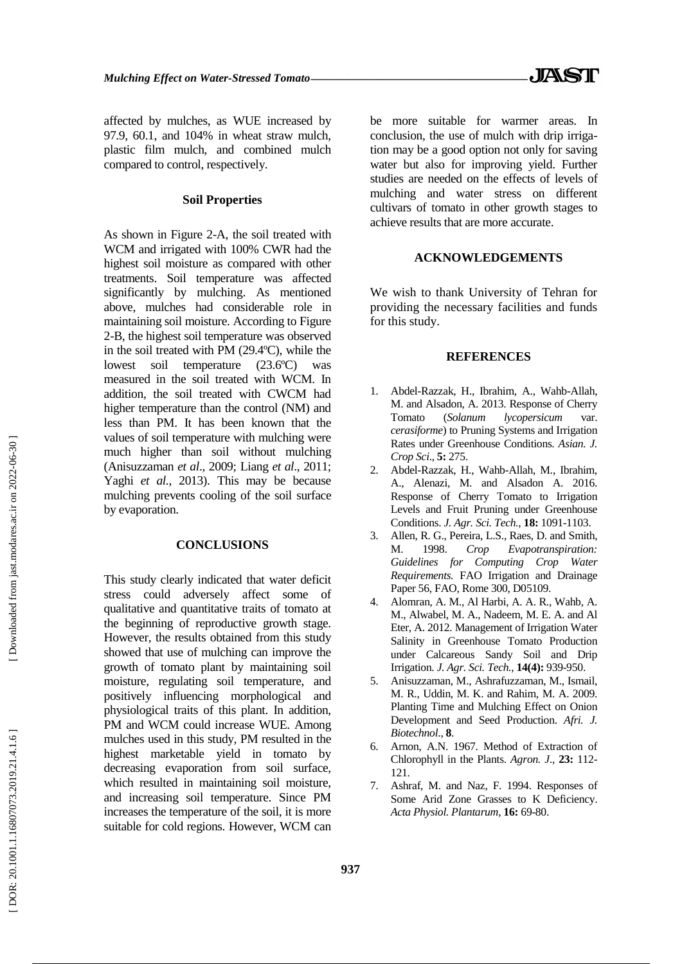affected by mulches, as WUE increased by 97.9, 60.1, and 104% in wheat straw mulch, plastic film mulch, and combined mulch compared to control, respectively.

#### **Soil Properties**

As shown in Figure 2 -A, the soil treated with WCM and irrigated with 100% CWR had the highest soil moisture as compared with other treatments. Soil temperature was affected significantly by mulching. As mentioned above, mulches had considerable role in maintaining soil moisture. According to Figure 2-B, the highest soil temperature was observed in the soil treated with PM (29.4ºC), while the lowest soil temperature (23.6ºC) was measured in the soil treated with WCM. In addition, the soil treated with CWCM had higher temperature than the control (NM) and less than PM. It has been known that the values of soil temperature with mulching were much higher than soil without mulching (Anisuzzaman *et al*., 2009; Liang *et al*., 2011; Yaghi *et al.*, 2013). This may be because mulching prevents cooling of the soil surface by evaporation.

# **CONCLUSIONS**

This study clearly indicated that water deficit stress could adversely affect some of qualitative and quantitative traits of tomato at the beginning of reproductive growth stage. However, the results obtained from this study showed that use of mulching can improve the growth of tomato plant by maintaining soil moisture, regulating soil temperature, and positively influencing morphological and physiological traits of this plant. In addition, PM and WCM could increase WUE. Among mulches used in this study, PM resulted in the highest marketable yield in tomato by decreasing evaporation from soil surface, which resulted in maintaining soil moisture, and increasing soil temperature. Since PM increases the temperature of the soil, it is more suitable for cold regions. However, WCM can be more suitable for warmer areas. In conclusion, the use of mulch with drip irriga tion may be a good option not only for saving water but also for improving yield. Further studies are needed on the effects of levels of mulching and water stress on different cultivars of tomato in other growth stages to achieve results that are more accurate.

# **ACKNOWLEDGEMENTS**

We wish to thank University of Tehran for providing the necessary facilities and funds for this study.

#### **REFERENCES**

- 1 . Abdel -Razzak, H., Ibrahim, A., Wahb -Allah, M. and Alsadon, A. 2013. Response of Cherry Tomato (*Solanum lycopersicum* var. *cerasiforme*) to Pruning Systems and Irrigation Rates under Greenhouse Conditions. *Asian. J. Crop Sci*., **5:** 275.
- $2^{1}$ . Abdel -Razzak, H., Wahb -Allah, M., Ibrahim, A., Alenazi, M. and Alsadon A. 2016. Response of Cherry Tomato to Irrigation Levels and Fruit Pruning under Greenhouse Conditions. *J. Agr. Sci. Tech.*, **18:** 1091 -1103.
- 3 . Allen, R. G., Pereira, L.S., Raes, D. and Smith, M. 1998. *Crop Evapotranspiration: Guidelines for Computing Crop Water Requirements.* FAO Irrigation and Drainage Paper 56, FAO, Rome 300, D05109.
- 4 . Alomran, A. M., Al Harbi, A. A. R., Wahb, A. M., Alwabel, M. A., Nadeem, M. E. A. and Al Eter, A. 2012. Management of Irrigation Water Salinity in Greenhouse Tomato Production under Calcareous Sandy Soil and Drip Irrigation. *J. Agr. Sci. Tech.*, **14(4):** 939 -950.
- 5 . Anisuzzaman, M., Ashrafuzzaman, M., Ismail, M. R., Uddin, M. K. and Rahim, M. A. 2009. Planting Time and Mulching Effect on Onion Development and Seed Production. *Afri. J. Biotechnol*., **8** .
- 6 . Arnon, A.N. 1967. Method of Extraction of Chlorophyll in the Plants. *Agron. J*., **23:** 112 - 121.
- 7 . Ashraf, M. and Naz, F. 1994. Responses of Some Arid Zone Grasses to K Deficiency. *Acta Physiol. Plantarum*, **16:** 69 -80.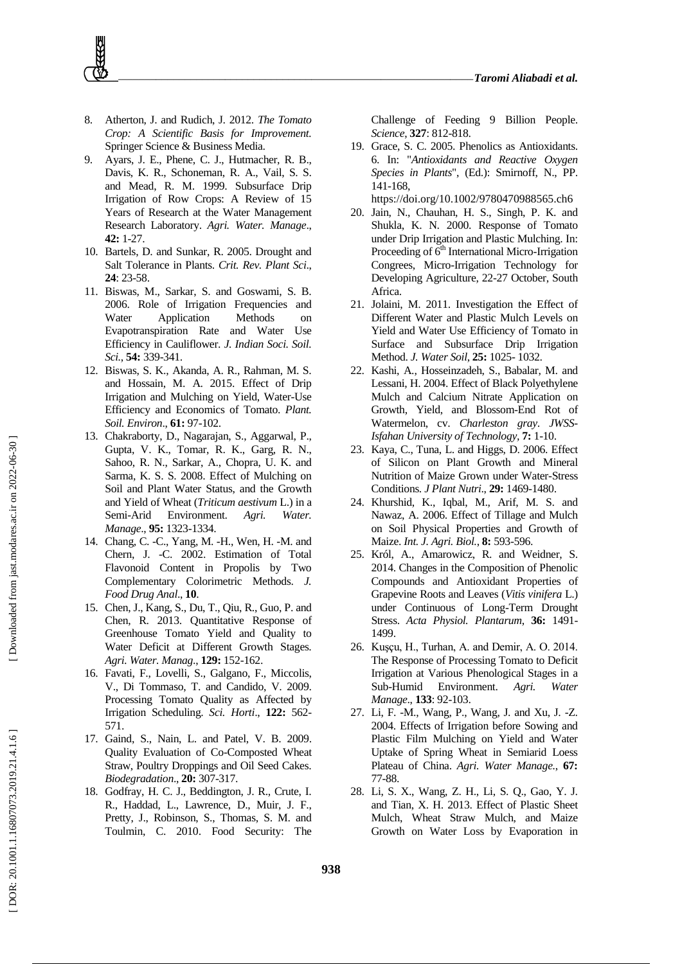- 8 . Atherton, J. and Rudich, J. 2012. *The Tomato Crop: A Scientific Basis for Improvement.* Springer Science & Business Media.
- 9 . Ayars, J. E., Phene, C. J., Hutmacher, R. B., Davis, K. R., Schoneman, R. A., Vail, S. S. and Mead, R. M. 1999. Subsurface Drip Irrigation of Row Crops: A Review of 15 Years of Research at the Water Management Research Laboratory. *Agri. Water. Manage*., **42:** 1 -27.
- 10 . Bartels, D. and Sunkar, R. 2005. Drought and Salt Tolerance in Plants. *Crit. Rev. Plant Sci*., **24**: 23 -58.
- 11 . Biswas, M., Sarkar, S. and Goswami, S. B. 2006. Role of Irrigation Frequencies and Water Application Methods on Evapotranspiration Rate and Water Use Efficiency in Cauliflower. *J. Indian Soci. Soil. Sci.*, **54:** 339 -341.
- 12 . Biswas, S. K., Akanda, A. R., Rahman, M. S. and Hossain, M. A. 2015. Effect of Drip Irrigation and Mulching on Yield, Water -Use Efficiency and Economics of Tomato. *Plant. Soil. Environ*., **61:** 97 -102.
- 13 . Chakraborty, D., Nagarajan, S., Aggarwal, P., Gupta, V. K., Tomar, R. K., Garg, R. N., Sahoo, R. N., Sarkar, A., Chopra, U. K. and Sarma, K. S. S. 2008. Effect of Mulching on Soil and Plant Water Status, and the Growth and Yield of Wheat (*Triticum aestivum* L.) in a Semi Environment. *Agri. Water. Manage*., **95:** 1323 -1334.
- 14 . Chang, C. -C., Yang, M. -H., Wen, H. -M. and Chern, J. -C. 2002. Estimation of Total Flavonoid Content in Propolis by Two Complementary Colorimetric Methods. *J. Food Drug Anal*., **10** .
- 15 . Chen, J., Kang, S., Du, T., Qiu, R., Guo, P. and Chen, R. 2013. Quantitative Response of Greenhouse Tomato Yield and Quality to Water Deficit at Different Growth Stages. *Agri. Water. Manag*., **129:** 152 -162.
- 16 . Favati, F., Lovelli, S., Galgano, F., Miccolis, V., Di Tommaso, T. and Candido, V. 2009. Processing Tomato Quality as Affected by Irrigation Scheduling. *Sci. Horti*., **122:** 562 - 571.
- 17 . Gaind, S., Nain, L. and Patel, V. B. 2009. Quality Evaluation of Co -Composted Wheat Straw, Poultry Droppings and Oil Seed Cakes. *Biodegradation*., **20:** 307 -317.
- 18 . Godfray, H. C. J., Beddington, J. R., Crute, I. R., Haddad, L., Lawrence, D., Muir, J. F., Pretty, J., Robinson, S., Thomas, S. M. and Toulmin, C. 2010. Food Security: The

Challenge of Feeding 9 Billion People. *Science*, **327**: 812 -818.

- 19 . Grace, S. C. 2005. Phenolics as Antioxidants. 6. In: "*Antioxidants and Reactive Oxygen Species in Plants*", (Ed.): Smirnoff, N., PP. 141 -168 , https://doi.org/10.1002/9780470988565.ch6
- 20 . Jain, N., Chauhan, H. S., Singh, P. K. and Shukla, K. N. 2000. Response of Tomato under Drip Irrigation and Plastic Mulching. In: Proceeding of 6<sup>th</sup> International Micro-Irrigation Congrees, Micro -Irrigation Technology for Developing Agriculture, 22 -27 October, South Africa .
- 21 . Jolaini, M. 2011. Investigation the Effect of Different Water and Plastic Mulch Levels on Yield and Water Use Efficiency of Tomato in Surface and Subsurface Drip Irrigation Method. *J. Water Soil*, **25:** 1025 - 1032.
- 22 . Kashi, A., Hosseinzadeh, S., Babalar, M. and Lessani, H. 2004. Effect of Black Polyethylene Mulch and Calcium Nitrate Application on Growth, Yield, and Blossom -End Rot of Watermelon, cv. *Charleston gray*. *JWSS - Isfahan University of Technology,* **7:** 1 -10.
- 23 . Kaya, C., Tuna, L. and Higgs, D. 2006. Effect of Silicon on Plant Growth and Mineral Nutrition of Maize Grown under Water -Stress Conditions. *J Plant Nutri*., **29:** 1469 -1480.
- $24$ . Khurshid, K., Iqbal, M., Arif, M. S. and Nawaz, A. 2006. Effect of Tillage and Mulch on Soil Physical Properties and Growth of Maize. *Int. J. Agri. Biol.*, **8:** 593 -596.
- 25 . Król, A., Amarowicz, R. and Weidner, S. 2014. Changes in the Composition of Phenolic Compounds and Antioxidant Properties of Grapevine Roots and Leaves (*Vitis vinifera* L.) under Continuous of Long -Term Drought Stress. *Acta Physiol. Plantarum*, **36:** 1491 - 1499.
- 26 . Kuşçu, H., Turhan, A. and Demir, A. O. 2014. The Response of Processing Tomato to Deficit Irrigation at Various Phenological Stages in a Sub -Humid Environment. *Agri. Water Manage*., **133**: 92 -103.
- 27 . Li, F. -M., Wang, P., Wang, J. and Xu, J. -Z. 2004. Effects of Irrigation before Sowing and Plastic Film Mulching on Yield and Water Uptake of Spring Wheat in Semiarid Loess Plateau of China. *Agri. Water Manage.* , **67:** 77 -88.
- 28 . Li, S. X., Wang, Z. H., Li, S. Q., Gao, Y. J. and Tian, X. H. 2013. Effect of Plastic Sheet Mulch, Wheat Straw Mulch, and Maize Growth on Water Loss by Evaporation in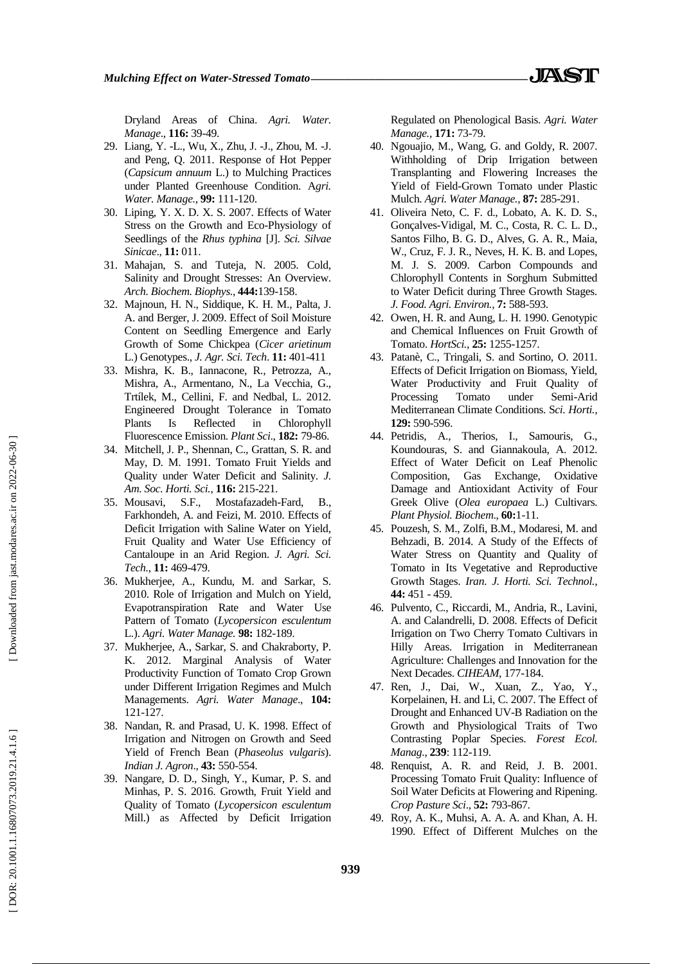Dryland Areas of China. *Agri. Water. Manage*., **116:** 39 -49.

- 29 . Liang, Y. -L., Wu, X., Zhu, J. -J., Zhou, M. -J. and Peng, Q. 2011. Response of Hot Pepper (*Capsicum annuum* L.) to Mulching Practices under Planted Greenhouse Condition. A*gri. Water. Manage.* , **99:** 111 -120.
- 30 . Liping, Y. X. D. X. S. 2007. Effects of Water Stress on the Growth and Eco -Physiology of Seedlings of the *Rhus typhina* [J]. *Sci. Silvae Sinicae*., **11:** 011.
- 31 . Mahajan, S. and Tuteja, N. 2005. Cold, Salinity and Drought Stresses: An Overview. *Arch. Biochem. Biophys*., **444:**139 -158.
- 32 . Majnoun, H. N., Siddique, K. H. M., Palta, J. A. and Berger, J. 2009. Effect of Soil Moisture Content on Seedling Emergence and Early Growth of Some Chickpea (*Cicer arietinum* L.) Genotypes., *J. Agr. Sci. Tech*. **11:** 401 -411
- 33 . Mishra, K. B., Iannacone, R., Petrozza, A., Mishra, A., Armentano, N., La Vecchia, G., Trtílek, M., Cellini, F. and Nedbal, L. 2012. Engineered Drought Tolerance in Tomato Plants Is Reflected in Chlorophyll Fluorescence Emission. *Plant Sci*., **182:** 79 -86.
- 34 . Mitchell, J. P., Shennan, C., Grattan, S. R. and May, D. M. 1991. Tomato Fruit Yields and Quality under Water Deficit and Salinity. *J. Am. Soc. Horti. Sci.*, **116:** 215 -221.
- 35. Mousavi. . Mousavi, S.F., Mostafazadeh -Fard, B., Farkhondeh, A. and Feizi, M. 2010. Effects of Deficit Irrigation with Saline Water on Yield, Fruit Quality and Water Use Efficiency of Cantaloupe in an Arid Region. *J. Agri. Sci. Tech.*, **11:** 469 -479.
- 36 . Mukherjee, A., Kundu, M. and Sarkar, S. 2010. Role of Irrigation and Mulch on Yield, Evapotranspiration Rate and Water Use Pattern of Tomato (*Lycopersicon esculentum* L.). *Agri. Water Manage.* **98:** 182 -189.
- 37 . Mukherjee, A., Sarkar, S. and Chakraborty, P. K. 2012. Marginal Analysis of Water Productivity Function of Tomato Crop Grown under Different Irrigation Regimes and Mulch Managements. *Agri. Water Manage*., **104:** 121 -127.
- 38 . Nandan, R. and Prasad, U. K. 1998. Effect of Irrigation and Nitrogen on Growth and Seed Yield of French Bean (*Phaseolus vulgaris*). *Indian J. Agron*., **43:** 550 -554.
- 39 . Nangare, D. D., Singh, Y., Kumar, P. S. and Minhas, P. S. 2016. Growth, Fruit Yield and Quality of Tomato (*Lycopersicon esculentum* Mill.) as Affected by Deficit Irrigation

Regulated on Phenological Basis. *Agri. Water Manage.*, **171:** 73 -79.

- 40 . Ngouajio, M., Wang, G. and Goldy, R. 2007. Withholding of Drip Irrigation between Transplanting and Flowering Increases the Yield of Field -Grown Tomato under Plastic Mulch. *Agri. Water Manage.,* **87:** 285 -291.
- 41 . Oliveira Neto, C. F. d., Lobato, A. K. D. S., Gonçalves -Vidigal, M. C., Costa, R. C. L. D., Santos Filho, B. G. D., Alves, G. A. R., Maia, W., Cruz, F. J. R., Neves, H. K. B. and Lopes, M. J. S. 2009. Carbon Compounds and Chlorophyll Contents in Sorghum Submitted to Water Deficit during Three Growth Stages. *J. Food. Agri. Environ.,* **7:** 588 -593.
- 42 . Owen, H. R. and Aung, L. H. 1990. Genotypic and Chemical Influences on Fruit Growth of Tomato. *HortSci.*, **25:** 1255 -1257.
- 43 . Patanè, C., Tringali, S. and Sortino, O. 2011. Effects of Deficit Irrigation on Biomass, Yield, Water Productivity and Fruit Quality of Processing Tomato under Semi-Arid Mediterranean Climate Conditions. S*ci. Horti.,* **129:** 590 -596.
- 44 . Petridis, A., Therios, I., Samouris, G., Koundouras, S. and Giannakoula, A. 2012. Effect of Water Deficit on Leaf Phenolic Composition, Gas Exchange, Oxidative Damage and Antioxidant Activity of Four Greek Olive (*Olea europaea* L.) Cultivars. *Plant Physiol. Biochem*., **60:** 1 -11.
- 45 . Pouzesh, S. M., Zolfi, B.M., Modaresi, M. and Behzadi, B. 2014. A Study of the Effects of Water Stress on Quantity and Quality of Tomato in Its Vegetative and Reproductive Growth Stages. *Iran. J. Horti. Sci. Technol.*, **44:** 451 - 459.
- 46 . Pulvento, C., Riccardi, M., Andria, R., Lavini, A. and Calandrelli, D. 2008. Effects of Deficit Irrigation on Two Cherry Tomato Cultivars in Hilly Areas. Irrigation in Mediterranean Agriculture: Challenges and Innovation for the Next Decades. *CIHEAM*, 177 -184.
- 47 . Ren, J., Dai, W., Xuan, Z., Yao, Y., Korpelainen, H. and Li, C. 2007. The Effect of Drought and Enhanced UV -B Radiation on the Growth and Physiological Traits of Two Contrasting Poplar Species. *Forest Ecol. Manag*., **239**: 112 -119.
- 48 . Renquist, A. R. and Reid, J. B. 2001. Processing Tomato Fruit Quality: Influence of Soil Water Deficits at Flowering and Ripening. *Crop Pasture Sci*., **52:** 793 -867.
- 49 . Roy, A. K., Muhsi, A. A. A. and Khan, A. H. 1990. Effect of Different Mulches on the

[Downloaded from jast.modares.ac.ir on 2022-06-30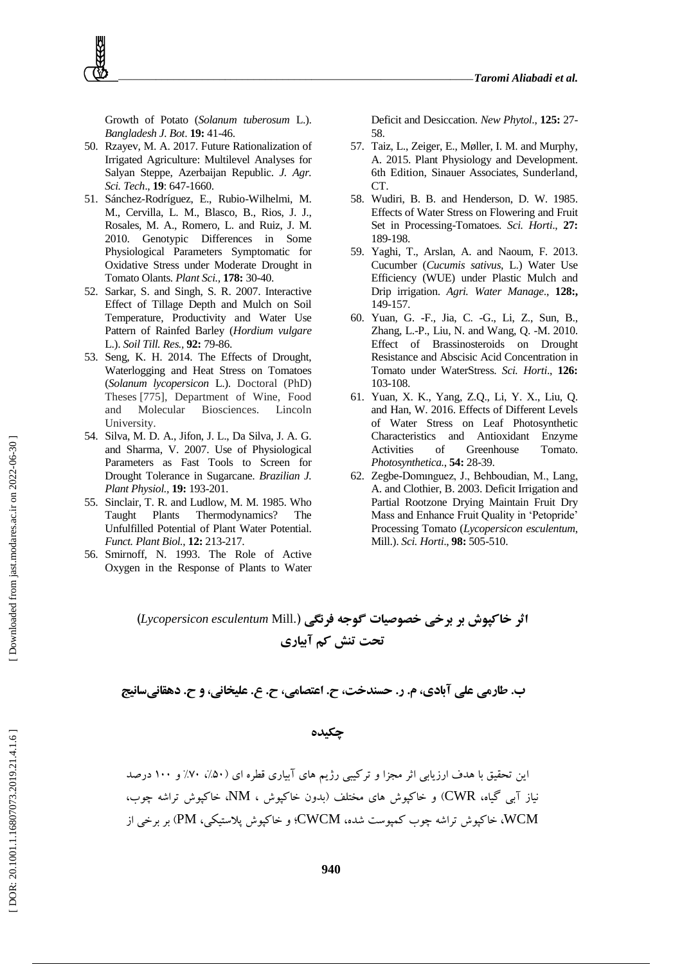Growth of Potato (*Solanum tuberosum* L.). *Bangladesh J. Bot* . **19:** 41 -46.

- 50 . Rzayev, M. A. 2017. Future Rationalization of Irrigated Agriculture: Multilevel Analyses for Salyan Steppe, Azerbaijan Republic. *J. Agr. Sci. Tech*., **19**: 647 -1660.
- 51 . Sánchez -Rodríguez, E., Rubio -Wilhelmi, M. M., Cervilla, L. M., Blasco, B., Rios, J. J., Rosales, M. A., Romero, L. and Ruiz, J. M. 2010. Genotypic Differences in Some Physiological Parameters Symptomatic for Oxidative Stress under Moderate Drought in Tomato Olants. *Plant Sci.,* **178:** 30 -40.
- 52 . Sarkar, S. and Singh, S. R. 2007. Interactive Effect of Tillage Depth and Mulch on Soil Temperature, Productivity and Water Use Pattern of Rainfed Barley (*Hordium vulgare* L.). *Soil Till. Res.,* **92:** 79 -86.
- 53 . Seng, K. H. 2014. The Effects of Drought, Waterlogging and Heat Stress on Tomatoes (*Solanum lycopersicon* L.). Doctoral (PhD) Theses [775], Department of Wine, Food and Molecular Biosciences. Lincoln University.
- 54 . Silva, M. D. A., Jifon, J. L., Da Silva, J. A. G. and Sharma, V. 2007. Use of Physiological Parameters as Fast Tools to Screen for Drought Tolerance in Sugarcane. *Brazilian J. Plant Physiol.,* **19:** 193 -201.
- 55 . Sinclair, T. R. and Ludlow, M. M. 1985. Who Taught Plants Thermodynamics? The Unfulfilled Potential of Plant Water Potential. *Funct. Plant Biol.*, **12:** 213 -217.
- 56 . Smirnoff, N. 1993. The Role of Active Oxygen in the Response of Plants to Water

Deficit and Desiccation. *New Phytol*., **125:** 27 - 58.

- 57 . Taiz, L., Zeiger, E., Møller, I. M. and Murphy, A. 2015. Plant Physiology and Development. 6th Edition, Sinauer Associates, Sunderland, CT.
- 58 . Wudiri, B. B. and Henderson, D. W. 1985. Effects of Water Stress on Flowering and Fruit Set in Processing -Tomatoes. *Sci. Horti*., **27:**  189 -198.
- 59 . Yaghi, T., Arslan, A. and Naoum, F. 2013. Cucumber (*Cucumis sativus,* L.) Water Use Efficiency (WUE) under Plastic Mulch and Drip irrigation. *Agri. Water Manage*., **128:,** 149 -157.
- 60 . Yuan, G. -F., Jia, C. -G., Li, Z., Sun, B., Zhang, L. -P., Liu, N. and Wang, Q. -M. 2010. Effect of Brassinosteroids on Drought Resistance and Abscisic Acid Concentration in Tomato under WaterStress. *Sci. Horti*., **126:** 103 -108.
- 61 . Yuan, X. K., Yang, Z.Q., Li, Y. X., Liu, Q. and Han, W. 2016. Effects of Different Levels of Water Stress on Leaf Photosynthetic Characteristics and Antioxidant Enzyme Activities of Greenhouse Tomato. *Photosynthetica.*, **54:** 28 -39.
- 62 . Zegbe -Domınguez, J., Behboudian, M., Lang, A. and Clothier, B. 2003. Deficit Irrigation and Partial Rootzone Drying Maintain Fruit Dry Mass and Enhance Fruit Quality in 'Petopride' Processing Tomato (*Lycopersicon esculentum*, Mill.). *Sci. Horti*., **98:** 505 -510.

**اثر خاکپوش بر برخی خصوصیات گوجه فرنگی )**.Mill *esculentum Lycopersicon* **) تحت تنص کن آبیاری**

**ب. طارهی علی آبادی، م. ر. حسنذخت، ح. اعتصاهی، ح. ع. علیخانی، و ح. دهقانیسانیج**

**چکیذه**

این تحقیق با هدف ارزیابي اثر مجزا و ترکیبي رژیم های آبیاري قطره اي (۵۰٪، ۷۰٪ و ۱۰۰ درصد ًیاز آتي گیا،ُ CWR )ٍ خاکپَش ّاي هختلف )تذٍى خاکپَش ، NM، خاکپَش تراضِ چَب، WCM، خاکپَش تراضِ چَب کوپَست ضذ،ُ CWCM؛ ٍ خاکپَش پالستیکي، PM )تر ترخي از

[Downloaded from jast.modares.ac.ir on 2022-06-30]